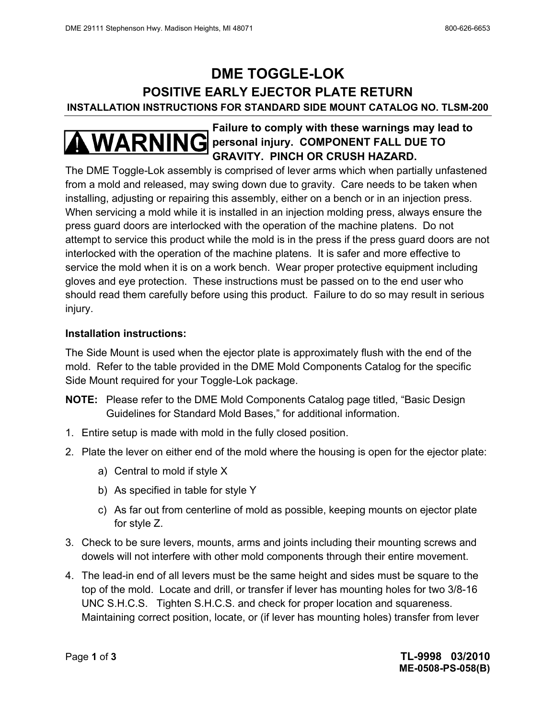# **DME TOGGLE-LOK POSITIVE EARLY EJECTOR PLATE RETURN INSTALLATION INSTRUCTIONS FOR STANDARD SIDE MOUNT CATALOG NO. TLSM-200**

## **Failure to comply with these warnings may lead to WARNING** personal injury. COMPONENT FALL DUE TO **GRAVITY. PINCH OR CRUSH HAZARD.**

The DME Toggle-Lok assembly is comprised of lever arms which when partially unfastened from a mold and released, may swing down due to gravity. Care needs to be taken when installing, adjusting or repairing this assembly, either on a bench or in an injection press. When servicing a mold while it is installed in an injection molding press, always ensure the press guard doors are interlocked with the operation of the machine platens. Do not attempt to service this product while the mold is in the press if the press guard doors are not interlocked with the operation of the machine platens. It is safer and more effective to service the mold when it is on a work bench. Wear proper protective equipment including gloves and eye protection. These instructions must be passed on to the end user who should read them carefully before using this product. Failure to do so may result in serious injury.

#### **Installation instructions:**

The Side Mount is used when the ejector plate is approximately flush with the end of the mold. Refer to the table provided in the DME Mold Components Catalog for the specific Side Mount required for your Toggle-Lok package.

- **NOTE:** Please refer to the DME Mold Components Catalog page titled, "Basic Design Guidelines for Standard Mold Bases," for additional information.
- 1. Entire setup is made with mold in the fully closed position.
- 2. Plate the lever on either end of the mold where the housing is open for the ejector plate:
	- a) Central to mold if style X
	- b) As specified in table for style Y
	- c) As far out from centerline of mold as possible, keeping mounts on ejector plate for style Z.
- 3. Check to be sure levers, mounts, arms and joints including their mounting screws and dowels will not interfere with other mold components through their entire movement.
- 4. The lead-in end of all levers must be the same height and sides must be square to the top of the mold. Locate and drill, or transfer if lever has mounting holes for two 3/8-16 UNC S.H.C.S. Tighten S.H.C.S. and check for proper location and squareness. Maintaining correct position, locate, or (if lever has mounting holes) transfer from lever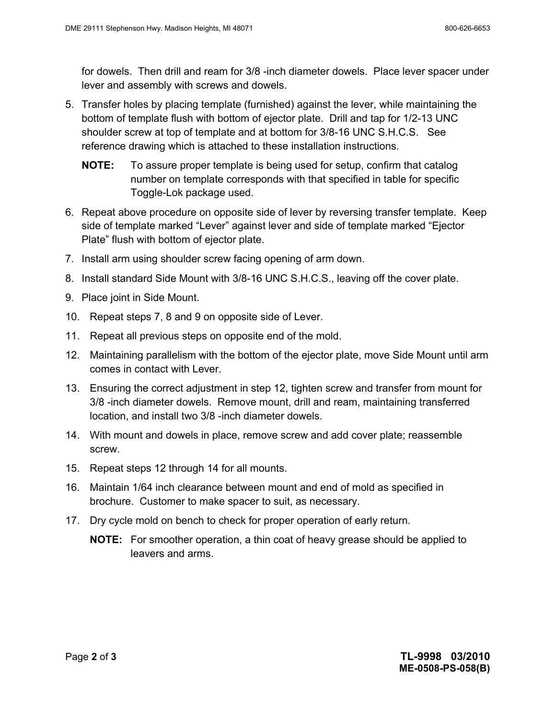for dowels. Then drill and ream for 3/8 -inch diameter dowels. Place lever spacer under lever and assembly with screws and dowels.

- 5. Transfer holes by placing template (furnished) against the lever, while maintaining the bottom of template flush with bottom of ejector plate. Drill and tap for 1/2-13 UNC shoulder screw at top of template and at bottom for 3/8-16 UNC S.H.C.S. See reference drawing which is attached to these installation instructions.
	- **NOTE:** To assure proper template is being used for setup, confirm that catalog number on template corresponds with that specified in table for specific Toggle-Lok package used.
- 6. Repeat above procedure on opposite side of lever by reversing transfer template. Keep side of template marked "Lever" against lever and side of template marked "Ejector Plate" flush with bottom of ejector plate.
- 7. Install arm using shoulder screw facing opening of arm down.
- 8. Install standard Side Mount with 3/8-16 UNC S.H.C.S., leaving off the cover plate.
- 9. Place joint in Side Mount.
- 10. Repeat steps 7, 8 and 9 on opposite side of Lever.
- 11. Repeat all previous steps on opposite end of the mold.
- 12. Maintaining parallelism with the bottom of the ejector plate, move Side Mount until arm comes in contact with Lever.
- 13. Ensuring the correct adjustment in step 12, tighten screw and transfer from mount for 3/8 -inch diameter dowels. Remove mount, drill and ream, maintaining transferred location, and install two 3/8 -inch diameter dowels.
- 14. With mount and dowels in place, remove screw and add cover plate; reassemble screw.
- 15. Repeat steps 12 through 14 for all mounts.
- 16. Maintain 1/64 inch clearance between mount and end of mold as specified in brochure. Customer to make spacer to suit, as necessary.
- 17. Dry cycle mold on bench to check for proper operation of early return.
	- **NOTE:** For smoother operation, a thin coat of heavy grease should be applied to leavers and arms.